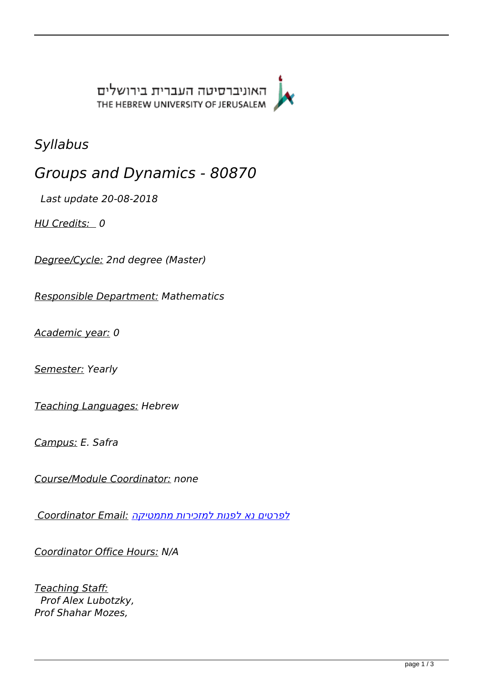האוניברסיטה העברית בירושלים THE HEBREW UNIVERSITY OF JERUSALEM



*Syllabus*

*Groups and Dynamics - 80870* 

 *Last update 20-08-2018* 

*HU Credits: 0* 

*Degree/Cycle: 2nd degree (Master)* 

*Responsible Department: Mathematics* 

*Academic year: 0* 

*Semester: Yearly* 

*Teaching Languages: Hebrew* 

*Campus: E. Safra* 

*Course/Module Coordinator: none* 

*[לפרטים נא לפנות למזכירות מתמטיקה](mailto:לפרטים נא לפנות למזכירות מתמטיקה) :Email Coordinator* 

*Coordinator Office Hours: N/A* 

*Teaching Staff: Prof Alex Lubotzky, Prof Shahar Mozes,*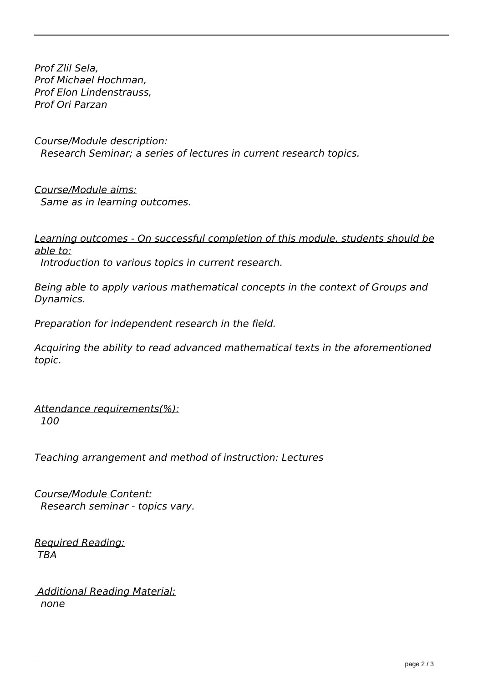*Prof Zlil Sela, Prof Michael Hochman, Prof Elon Lindenstrauss, Prof Ori Parzan* 

*Course/Module description: Research Seminar; a series of lectures in current research topics.* 

*Course/Module aims: Same as in learning outcomes.* 

*Learning outcomes - On successful completion of this module, students should be able to:*

 *Introduction to various topics in current research.* 

*Being able to apply various mathematical concepts in the context of Groups and Dynamics.* 

*Preparation for independent research in the field.* 

*Acquiring the ability to read advanced mathematical texts in the aforementioned topic.* 

*Attendance requirements(%): 100* 

*Teaching arrangement and method of instruction: Lectures* 

*Course/Module Content: Research seminar - topics vary.* 

*Required Reading: TBA* 

 *Additional Reading Material: none*